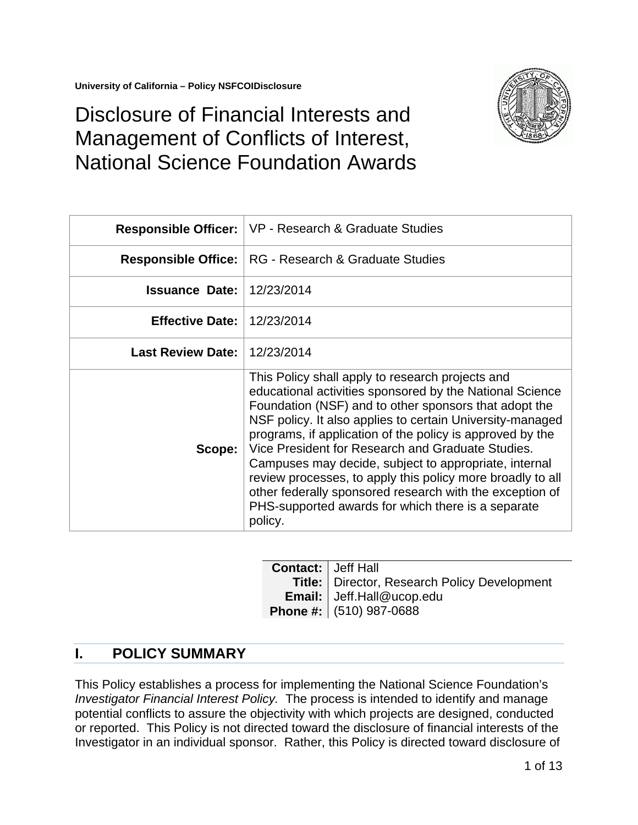

# Disclosure of Financial Interests and Management of Conflicts of Interest, National Science Foundation Awards

|                          | <b>Responsible Officer:   VP - Research &amp; Graduate Studies</b>                                                                                                                                                                                                                                                                                                                                                                                                                                                                                                                                       |
|--------------------------|----------------------------------------------------------------------------------------------------------------------------------------------------------------------------------------------------------------------------------------------------------------------------------------------------------------------------------------------------------------------------------------------------------------------------------------------------------------------------------------------------------------------------------------------------------------------------------------------------------|
|                          | <b>Responsible Office:</b>   RG - Research & Graduate Studies                                                                                                                                                                                                                                                                                                                                                                                                                                                                                                                                            |
| <b>Issuance Date:</b>    | 12/23/2014                                                                                                                                                                                                                                                                                                                                                                                                                                                                                                                                                                                               |
| <b>Effective Date:</b>   | 12/23/2014                                                                                                                                                                                                                                                                                                                                                                                                                                                                                                                                                                                               |
| <b>Last Review Date:</b> | 12/23/2014                                                                                                                                                                                                                                                                                                                                                                                                                                                                                                                                                                                               |
| Scope:                   | This Policy shall apply to research projects and<br>educational activities sponsored by the National Science<br>Foundation (NSF) and to other sponsors that adopt the<br>NSF policy. It also applies to certain University-managed<br>programs, if application of the policy is approved by the<br>Vice President for Research and Graduate Studies.<br>Campuses may decide, subject to appropriate, internal<br>review processes, to apply this policy more broadly to all<br>other federally sponsored research with the exception of<br>PHS-supported awards for which there is a separate<br>policy. |

| Title:   Director, Research Policy Development |
|------------------------------------------------|
|                                                |
|                                                |
|                                                |
|                                                |
|                                                |
|                                                |

# **I. POLICY SUMMARY**

This Policy establishes a process for implementing the National Science Foundation's *Investigator Financial Interest Policy.* The process is intended to identify and manage potential conflicts to assure the objectivity with which projects are designed, conducted or reported. This Policy is not directed toward the disclosure of financial interests of the Investigator in an individual sponsor. Rather, this Policy is directed toward disclosure of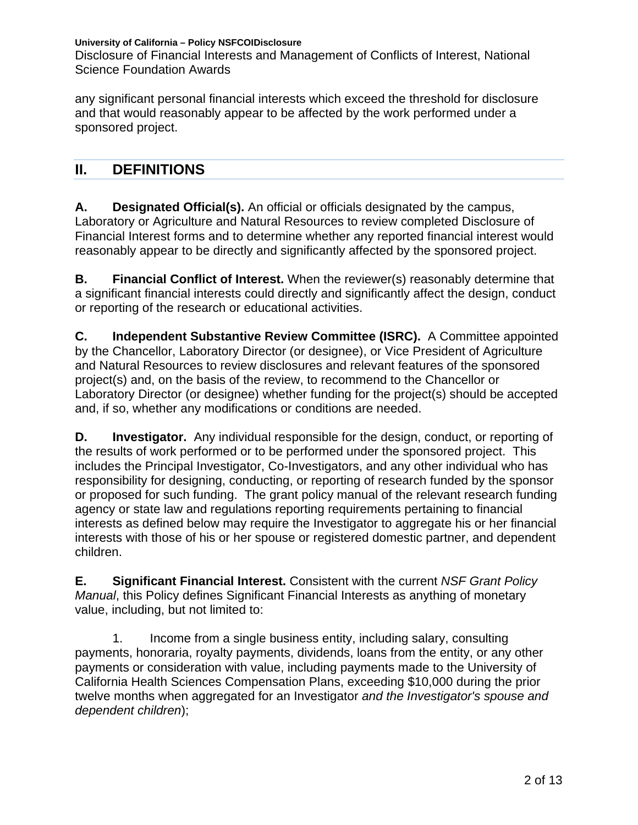Disclosure of Financial Interests and Management of Conflicts of Interest, National Science Foundation Awards

any significant personal financial interests which exceed the threshold for disclosure and that would reasonably appear to be affected by the work performed under a sponsored project.

## **II. DEFINITIONS**

**A. Designated Official(s).** An official or officials designated by the campus, Laboratory or Agriculture and Natural Resources to review completed Disclosure of Financial Interest forms and to determine whether any reported financial interest would reasonably appear to be directly and significantly affected by the sponsored project.

**B. Financial Conflict of Interest.** When the reviewer(s) reasonably determine that a significant financial interests could directly and significantly affect the design, conduct or reporting of the research or educational activities.

**C. Independent Substantive Review Committee (ISRC).** A Committee appointed by the Chancellor, Laboratory Director (or designee), or Vice President of Agriculture and Natural Resources to review disclosures and relevant features of the sponsored project(s) and, on the basis of the review, to recommend to the Chancellor or Laboratory Director (or designee) whether funding for the project(s) should be accepted and, if so, whether any modifications or conditions are needed.

**D. Investigator.** Any individual responsible for the design, conduct, or reporting of the results of work performed or to be performed under the sponsored project. This includes the Principal Investigator, Co-Investigators, and any other individual who has responsibility for designing, conducting, or reporting of research funded by the sponsor or proposed for such funding. The grant policy manual of the relevant research funding agency or state law and regulations reporting requirements pertaining to financial interests as defined below may require the Investigator to aggregate his or her financial interests with those of his or her spouse or registered domestic partner, and dependent children.

**E. Significant Financial Interest.** Consistent with the current *NSF Grant Policy Manual*, this Policy defines Significant Financial Interests as anything of monetary value, including, but not limited to:

1. Income from a single business entity, including salary, consulting payments, honoraria, royalty payments, dividends, loans from the entity, or any other payments or consideration with value, including payments made to the University of California Health Sciences Compensation Plans, exceeding \$10,000 during the prior twelve months when aggregated for an Investigator *and the Investigator's spouse and dependent children*);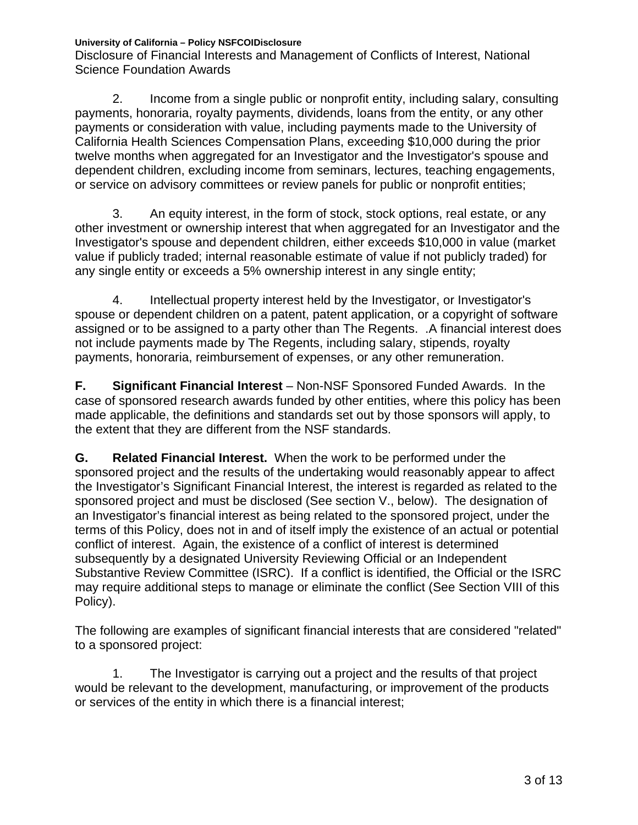Disclosure of Financial Interests and Management of Conflicts of Interest, National Science Foundation Awards

2. Income from a single public or nonprofit entity, including salary, consulting payments, honoraria, royalty payments, dividends, loans from the entity, or any other payments or consideration with value, including payments made to the University of California Health Sciences Compensation Plans, exceeding \$10,000 during the prior twelve months when aggregated for an Investigator and the Investigator's spouse and dependent children, excluding income from seminars, lectures, teaching engagements, or service on advisory committees or review panels for public or nonprofit entities;

3. An equity interest, in the form of stock, stock options, real estate, or any other investment or ownership interest that when aggregated for an Investigator and the Investigator's spouse and dependent children, either exceeds \$10,000 in value (market value if publicly traded; internal reasonable estimate of value if not publicly traded) for any single entity or exceeds a 5% ownership interest in any single entity;

4. Intellectual property interest held by the Investigator, or Investigator's spouse or dependent children on a patent, patent application, or a copyright of software assigned or to be assigned to a party other than The Regents. .A financial interest does not include payments made by The Regents, including salary, stipends, royalty payments, honoraria, reimbursement of expenses, or any other remuneration.

**F. Significant Financial Interest** – Non-NSF Sponsored Funded Awards. In the case of sponsored research awards funded by other entities, where this policy has been made applicable, the definitions and standards set out by those sponsors will apply, to the extent that they are different from the NSF standards.

**G. Related Financial Interest.** When the work to be performed under the sponsored project and the results of the undertaking would reasonably appear to affect the Investigator's Significant Financial Interest, the interest is regarded as related to the sponsored project and must be disclosed (See section V., below). The designation of an Investigator's financial interest as being related to the sponsored project, under the terms of this Policy, does not in and of itself imply the existence of an actual or potential conflict of interest. Again, the existence of a conflict of interest is determined subsequently by a designated University Reviewing Official or an Independent Substantive Review Committee (ISRC). If a conflict is identified, the Official or the ISRC may require additional steps to manage or eliminate the conflict (See Section VIII of this Policy).

The following are examples of significant financial interests that are considered "related" to a sponsored project:

1. The Investigator is carrying out a project and the results of that project would be relevant to the development, manufacturing, or improvement of the products or services of the entity in which there is a financial interest;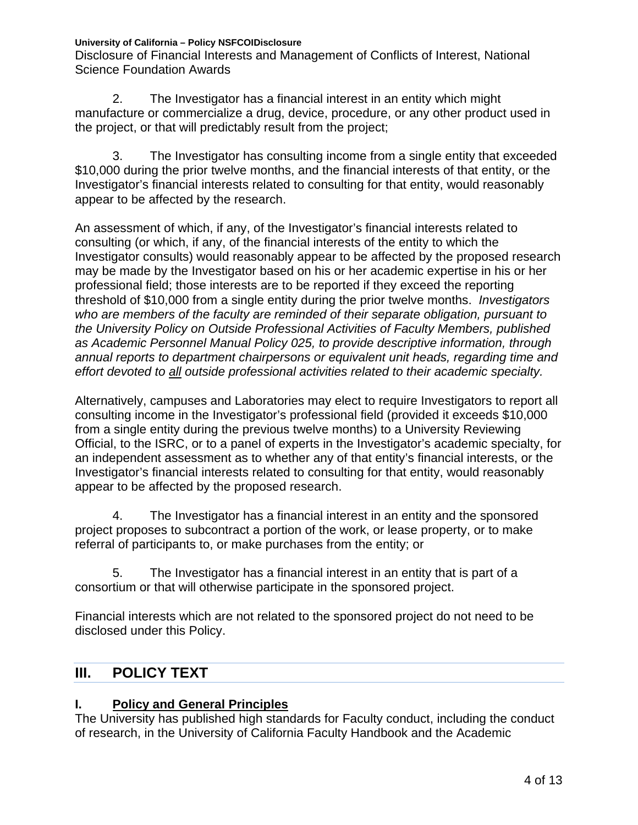Disclosure of Financial Interests and Management of Conflicts of Interest, National Science Foundation Awards

2. The Investigator has a financial interest in an entity which might manufacture or commercialize a drug, device, procedure, or any other product used in the project, or that will predictably result from the project;

3. The Investigator has consulting income from a single entity that exceeded \$10,000 during the prior twelve months, and the financial interests of that entity, or the Investigator's financial interests related to consulting for that entity, would reasonably appear to be affected by the research.

An assessment of which, if any, of the Investigator's financial interests related to consulting (or which, if any, of the financial interests of the entity to which the Investigator consults) would reasonably appear to be affected by the proposed research may be made by the Investigator based on his or her academic expertise in his or her professional field; those interests are to be reported if they exceed the reporting threshold of \$10,000 from a single entity during the prior twelve months. *Investigators who are members of the faculty are reminded of their separate obligation, pursuant to the University Policy on Outside Professional Activities of Faculty Members, published as Academic Personnel Manual Policy 025, to provide descriptive information, through annual reports to department chairpersons or equivalent unit heads, regarding time and effort devoted to all outside professional activities related to their academic specialty.*

Alternatively, campuses and Laboratories may elect to require Investigators to report all consulting income in the Investigator's professional field (provided it exceeds \$10,000 from a single entity during the previous twelve months) to a University Reviewing Official, to the ISRC, or to a panel of experts in the Investigator's academic specialty, for an independent assessment as to whether any of that entity's financial interests, or the Investigator's financial interests related to consulting for that entity, would reasonably appear to be affected by the proposed research.

4. The Investigator has a financial interest in an entity and the sponsored project proposes to subcontract a portion of the work, or lease property, or to make referral of participants to, or make purchases from the entity; or

5. The Investigator has a financial interest in an entity that is part of a consortium or that will otherwise participate in the sponsored project.

Financial interests which are not related to the sponsored project do not need to be disclosed under this Policy.

# **III. POLICY TEXT**

## **I. Policy and General Principles**

The University has published high standards for Faculty conduct, including the conduct of research, in the University of California Faculty Handbook and the Academic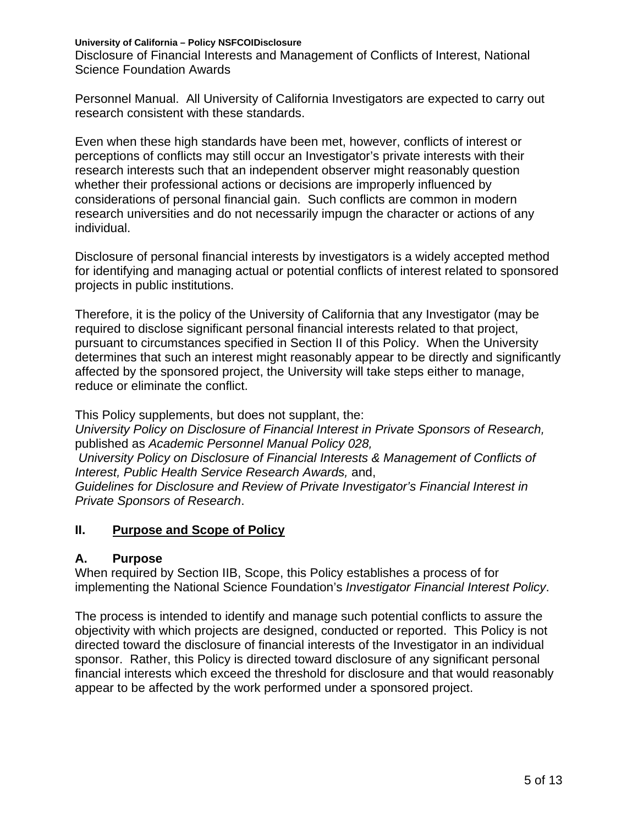Disclosure of Financial Interests and Management of Conflicts of Interest, National Science Foundation Awards

Personnel Manual. All University of California Investigators are expected to carry out research consistent with these standards.

Even when these high standards have been met, however, conflicts of interest or perceptions of conflicts may still occur an Investigator's private interests with their research interests such that an independent observer might reasonably question whether their professional actions or decisions are improperly influenced by considerations of personal financial gain. Such conflicts are common in modern research universities and do not necessarily impugn the character or actions of any individual.

Disclosure of personal financial interests by investigators is a widely accepted method for identifying and managing actual or potential conflicts of interest related to sponsored projects in public institutions.

Therefore, it is the policy of the University of California that any Investigator (may be required to disclose significant personal financial interests related to that project, pursuant to circumstances specified in Section II of this Policy. When the University determines that such an interest might reasonably appear to be directly and significantly affected by the sponsored project, the University will take steps either to manage, reduce or eliminate the conflict.

This Policy supplements, but does not supplant, the: *University Policy on Disclosure of Financial Interest in Private Sponsors of Research,* published as *Academic Personnel Manual Policy 028, University Policy on Disclosure of Financial Interests & Management of Conflicts of Interest, Public Health Service Research Awards,* and, *Guidelines for Disclosure and Review of Private Investigator's Financial Interest in Private Sponsors of Research*.

#### **II. Purpose and Scope of Policy**

#### **A. Purpose**

When required by Section IIB, Scope, this Policy establishes a process of for implementing the National Science Foundation's *Investigator Financial Interest Policy*.

The process is intended to identify and manage such potential conflicts to assure the objectivity with which projects are designed, conducted or reported. This Policy is not directed toward the disclosure of financial interests of the Investigator in an individual sponsor. Rather, this Policy is directed toward disclosure of any significant personal financial interests which exceed the threshold for disclosure and that would reasonably appear to be affected by the work performed under a sponsored project.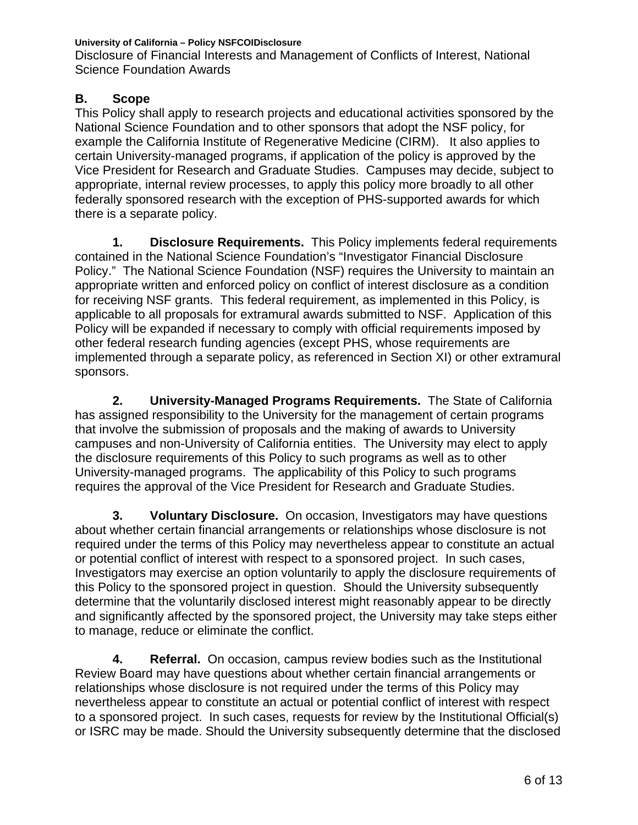**University of California – Policy NSFCOIDisclosure** Disclosure of Financial Interests and Management of Conflicts of Interest, National Science Foundation Awards

#### **B. Scope**

This Policy shall apply to research projects and educational activities sponsored by the National Science Foundation and to other sponsors that adopt the NSF policy, for example the California Institute of Regenerative Medicine (CIRM). It also applies to certain University-managed programs, if application of the policy is approved by the Vice President for Research and Graduate Studies. Campuses may decide, subject to appropriate, internal review processes, to apply this policy more broadly to all other federally sponsored research with the exception of PHS-supported awards for which there is a separate policy.

**1. Disclosure Requirements.** This Policy implements federal requirements contained in the National Science Foundation's "Investigator Financial Disclosure Policy." The National Science Foundation (NSF) requires the University to maintain an appropriate written and enforced policy on conflict of interest disclosure as a condition for receiving NSF grants. This federal requirement, as implemented in this Policy, is applicable to all proposals for extramural awards submitted to NSF. Application of this Policy will be expanded if necessary to comply with official requirements imposed by other federal research funding agencies (except PHS, whose requirements are implemented through a separate policy, as referenced in Section XI) or other extramural sponsors.

**2. University-Managed Programs Requirements.** The State of California has assigned responsibility to the University for the management of certain programs that involve the submission of proposals and the making of awards to University campuses and non-University of California entities. The University may elect to apply the disclosure requirements of this Policy to such programs as well as to other University-managed programs. The applicability of this Policy to such programs requires the approval of the Vice President for Research and Graduate Studies.

**3. Voluntary Disclosure.** On occasion, Investigators may have questions about whether certain financial arrangements or relationships whose disclosure is not required under the terms of this Policy may nevertheless appear to constitute an actual or potential conflict of interest with respect to a sponsored project. In such cases, Investigators may exercise an option voluntarily to apply the disclosure requirements of this Policy to the sponsored project in question. Should the University subsequently determine that the voluntarily disclosed interest might reasonably appear to be directly and significantly affected by the sponsored project, the University may take steps either to manage, reduce or eliminate the conflict.

**4. Referral.** On occasion, campus review bodies such as the Institutional Review Board may have questions about whether certain financial arrangements or relationships whose disclosure is not required under the terms of this Policy may nevertheless appear to constitute an actual or potential conflict of interest with respect to a sponsored project. In such cases, requests for review by the Institutional Official(s) or ISRC may be made. Should the University subsequently determine that the disclosed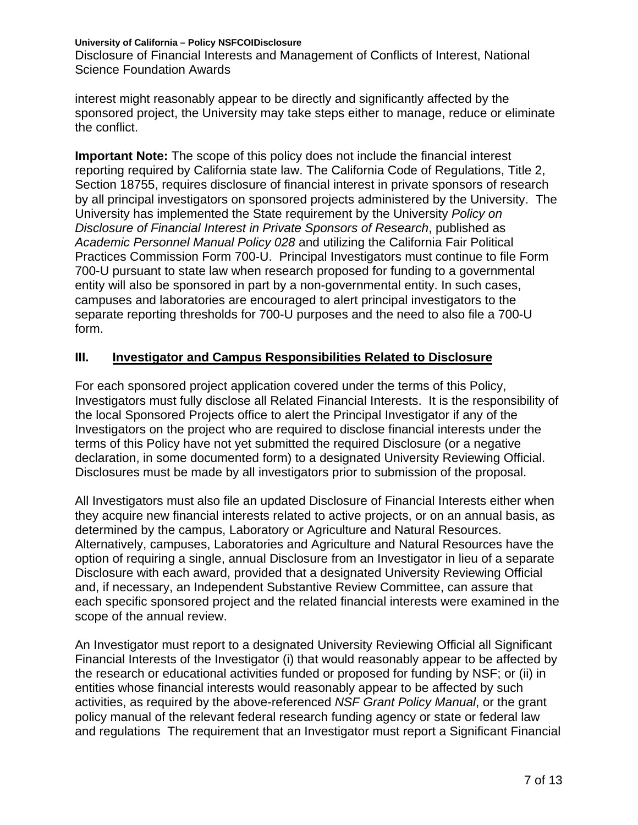Disclosure of Financial Interests and Management of Conflicts of Interest, National Science Foundation Awards

interest might reasonably appear to be directly and significantly affected by the sponsored project, the University may take steps either to manage, reduce or eliminate the conflict.

**Important Note:** The scope of this policy does not include the financial interest reporting required by California state law. The California Code of Regulations, Title 2, Section 18755, requires disclosure of financial interest in private sponsors of research by all principal investigators on sponsored projects administered by the University. The University has implemented the State requirement by the University *Policy on Disclosure of Financial Interest in Private Sponsors of Research*, published as *Academic Personnel Manual Policy 028* and utilizing the California Fair Political Practices Commission Form 700-U. Principal Investigators must continue to file Form 700-U pursuant to state law when research proposed for funding to a governmental entity will also be sponsored in part by a non-governmental entity. In such cases, campuses and laboratories are encouraged to alert principal investigators to the separate reporting thresholds for 700-U purposes and the need to also file a 700-U form.

#### **III. Investigator and Campus Responsibilities Related to Disclosure**

For each sponsored project application covered under the terms of this Policy, Investigators must fully disclose all Related Financial Interests. It is the responsibility of the local Sponsored Projects office to alert the Principal Investigator if any of the Investigators on the project who are required to disclose financial interests under the terms of this Policy have not yet submitted the required Disclosure (or a negative declaration, in some documented form) to a designated University Reviewing Official. Disclosures must be made by all investigators prior to submission of the proposal.

All Investigators must also file an updated Disclosure of Financial Interests either when they acquire new financial interests related to active projects, or on an annual basis, as determined by the campus, Laboratory or Agriculture and Natural Resources. Alternatively, campuses, Laboratories and Agriculture and Natural Resources have the option of requiring a single, annual Disclosure from an Investigator in lieu of a separate Disclosure with each award, provided that a designated University Reviewing Official and, if necessary, an Independent Substantive Review Committee, can assure that each specific sponsored project and the related financial interests were examined in the scope of the annual review.

An Investigator must report to a designated University Reviewing Official all Significant Financial Interests of the Investigator (i) that would reasonably appear to be affected by the research or educational activities funded or proposed for funding by NSF; or (ii) in entities whose financial interests would reasonably appear to be affected by such activities, as required by the above-referenced *NSF Grant Policy Manual*, or the grant policy manual of the relevant federal research funding agency or state or federal law and regulations The requirement that an Investigator must report a Significant Financial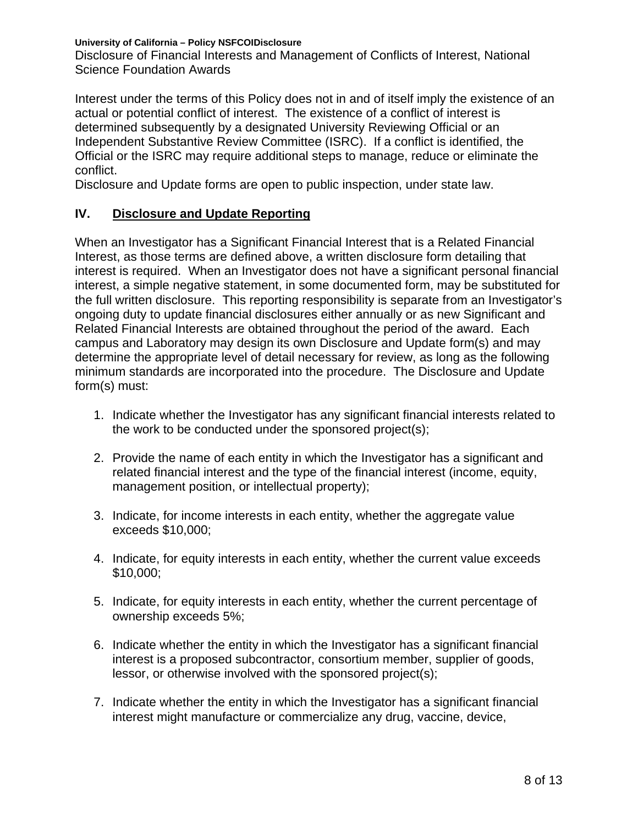Disclosure of Financial Interests and Management of Conflicts of Interest, National Science Foundation Awards

Interest under the terms of this Policy does not in and of itself imply the existence of an actual or potential conflict of interest. The existence of a conflict of interest is determined subsequently by a designated University Reviewing Official or an Independent Substantive Review Committee (ISRC). If a conflict is identified, the Official or the ISRC may require additional steps to manage, reduce or eliminate the conflict.

Disclosure and Update forms are open to public inspection, under state law.

#### **IV. Disclosure and Update Reporting**

When an Investigator has a Significant Financial Interest that is a Related Financial Interest, as those terms are defined above, a written disclosure form detailing that interest is required. When an Investigator does not have a significant personal financial interest, a simple negative statement, in some documented form, may be substituted for the full written disclosure. This reporting responsibility is separate from an Investigator's ongoing duty to update financial disclosures either annually or as new Significant and Related Financial Interests are obtained throughout the period of the award. Each campus and Laboratory may design its own Disclosure and Update form(s) and may determine the appropriate level of detail necessary for review, as long as the following minimum standards are incorporated into the procedure. The Disclosure and Update form(s) must:

- 1. Indicate whether the Investigator has any significant financial interests related to the work to be conducted under the sponsored project(s);
- 2. Provide the name of each entity in which the Investigator has a significant and related financial interest and the type of the financial interest (income, equity, management position, or intellectual property);
- 3. Indicate, for income interests in each entity, whether the aggregate value exceeds \$10,000;
- 4. Indicate, for equity interests in each entity, whether the current value exceeds \$10,000;
- 5. Indicate, for equity interests in each entity, whether the current percentage of ownership exceeds 5%;
- 6. Indicate whether the entity in which the Investigator has a significant financial interest is a proposed subcontractor, consortium member, supplier of goods, lessor, or otherwise involved with the sponsored project(s);
- 7. Indicate whether the entity in which the Investigator has a significant financial interest might manufacture or commercialize any drug, vaccine, device,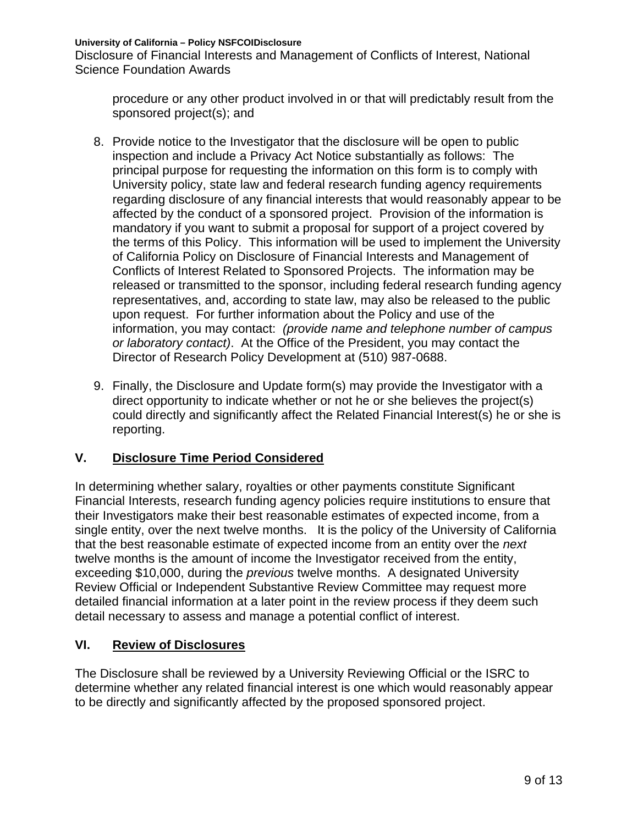Disclosure of Financial Interests and Management of Conflicts of Interest, National Science Foundation Awards

procedure or any other product involved in or that will predictably result from the sponsored project(s); and

- 8. Provide notice to the Investigator that the disclosure will be open to public inspection and include a Privacy Act Notice substantially as follows: The principal purpose for requesting the information on this form is to comply with University policy, state law and federal research funding agency requirements regarding disclosure of any financial interests that would reasonably appear to be affected by the conduct of a sponsored project. Provision of the information is mandatory if you want to submit a proposal for support of a project covered by the terms of this Policy. This information will be used to implement the University of California Policy on Disclosure of Financial Interests and Management of Conflicts of Interest Related to Sponsored Projects. The information may be released or transmitted to the sponsor, including federal research funding agency representatives, and, according to state law, may also be released to the public upon request. For further information about the Policy and use of the information, you may contact: *(provide name and telephone number of campus or laboratory contact)*. At the Office of the President, you may contact the Director of Research Policy Development at (510) 987-0688.
- 9. Finally, the Disclosure and Update form(s) may provide the Investigator with a direct opportunity to indicate whether or not he or she believes the project(s) could directly and significantly affect the Related Financial Interest(s) he or she is reporting.

## **V. Disclosure Time Period Considered**

In determining whether salary, royalties or other payments constitute Significant Financial Interests, research funding agency policies require institutions to ensure that their Investigators make their best reasonable estimates of expected income, from a single entity, over the next twelve months. It is the policy of the University of California that the best reasonable estimate of expected income from an entity over the *next* twelve months is the amount of income the Investigator received from the entity, exceeding \$10,000, during the *previous* twelve months. A designated University Review Official or Independent Substantive Review Committee may request more detailed financial information at a later point in the review process if they deem such detail necessary to assess and manage a potential conflict of interest.

#### **VI. Review of Disclosures**

The Disclosure shall be reviewed by a University Reviewing Official or the ISRC to determine whether any related financial interest is one which would reasonably appear to be directly and significantly affected by the proposed sponsored project.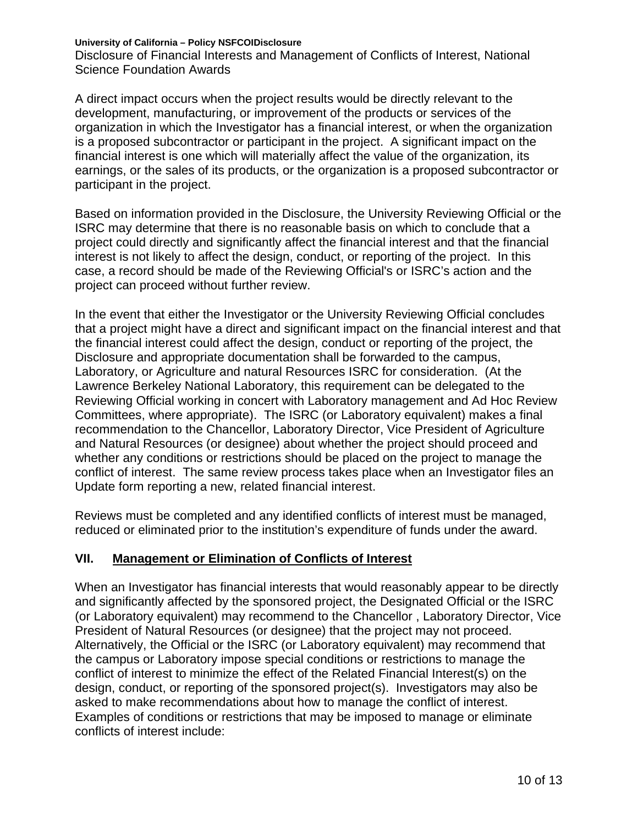Disclosure of Financial Interests and Management of Conflicts of Interest, National Science Foundation Awards

A direct impact occurs when the project results would be directly relevant to the development, manufacturing, or improvement of the products or services of the organization in which the Investigator has a financial interest, or when the organization is a proposed subcontractor or participant in the project. A significant impact on the financial interest is one which will materially affect the value of the organization, its earnings, or the sales of its products, or the organization is a proposed subcontractor or participant in the project.

Based on information provided in the Disclosure, the University Reviewing Official or the ISRC may determine that there is no reasonable basis on which to conclude that a project could directly and significantly affect the financial interest and that the financial interest is not likely to affect the design, conduct, or reporting of the project. In this case, a record should be made of the Reviewing Official's or ISRC's action and the project can proceed without further review.

In the event that either the Investigator or the University Reviewing Official concludes that a project might have a direct and significant impact on the financial interest and that the financial interest could affect the design, conduct or reporting of the project, the Disclosure and appropriate documentation shall be forwarded to the campus, Laboratory, or Agriculture and natural Resources ISRC for consideration. (At the Lawrence Berkeley National Laboratory, this requirement can be delegated to the Reviewing Official working in concert with Laboratory management and Ad Hoc Review Committees, where appropriate). The ISRC (or Laboratory equivalent) makes a final recommendation to the Chancellor, Laboratory Director, Vice President of Agriculture and Natural Resources (or designee) about whether the project should proceed and whether any conditions or restrictions should be placed on the project to manage the conflict of interest. The same review process takes place when an Investigator files an Update form reporting a new, related financial interest.

Reviews must be completed and any identified conflicts of interest must be managed, reduced or eliminated prior to the institution's expenditure of funds under the award.

#### **VII. Management or Elimination of Conflicts of Interest**

When an Investigator has financial interests that would reasonably appear to be directly and significantly affected by the sponsored project, the Designated Official or the ISRC (or Laboratory equivalent) may recommend to the Chancellor , Laboratory Director, Vice President of Natural Resources (or designee) that the project may not proceed. Alternatively, the Official or the ISRC (or Laboratory equivalent) may recommend that the campus or Laboratory impose special conditions or restrictions to manage the conflict of interest to minimize the effect of the Related Financial Interest(s) on the design, conduct, or reporting of the sponsored project(s). Investigators may also be asked to make recommendations about how to manage the conflict of interest. Examples of conditions or restrictions that may be imposed to manage or eliminate conflicts of interest include: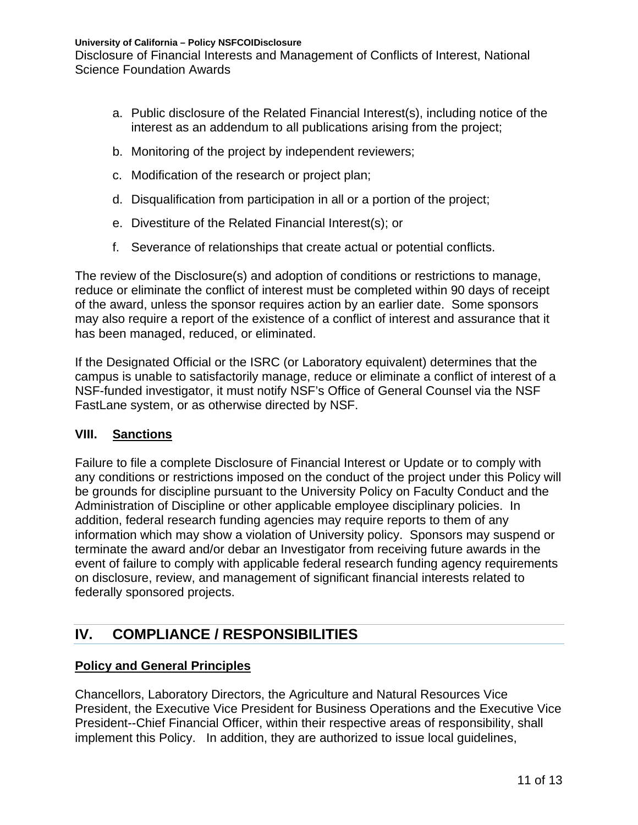Disclosure of Financial Interests and Management of Conflicts of Interest, National Science Foundation Awards

- a. Public disclosure of the Related Financial Interest(s), including notice of the interest as an addendum to all publications arising from the project;
- b. Monitoring of the project by independent reviewers;
- c. Modification of the research or project plan;
- d. Disqualification from participation in all or a portion of the project;
- e. Divestiture of the Related Financial Interest(s); or
- f. Severance of relationships that create actual or potential conflicts.

The review of the Disclosure(s) and adoption of conditions or restrictions to manage, reduce or eliminate the conflict of interest must be completed within 90 days of receipt of the award, unless the sponsor requires action by an earlier date. Some sponsors may also require a report of the existence of a conflict of interest and assurance that it has been managed, reduced, or eliminated.

If the Designated Official or the ISRC (or Laboratory equivalent) determines that the campus is unable to satisfactorily manage, reduce or eliminate a conflict of interest of a NSF-funded investigator, it must notify NSF's Office of General Counsel via the NSF FastLane system, or as otherwise directed by NSF.

#### **VIII. Sanctions**

Failure to file a complete Disclosure of Financial Interest or Update or to comply with any conditions or restrictions imposed on the conduct of the project under this Policy will be grounds for discipline pursuant to the University Policy on Faculty Conduct and the Administration of Discipline or other applicable employee disciplinary policies. In addition, federal research funding agencies may require reports to them of any information which may show a violation of University policy. Sponsors may suspend or terminate the award and/or debar an Investigator from receiving future awards in the event of failure to comply with applicable federal research funding agency requirements on disclosure, review, and management of significant financial interests related to federally sponsored projects.

# **IV. COMPLIANCE / RESPONSIBILITIES**

#### **Policy and General Principles**

Chancellors, Laboratory Directors, the Agriculture and Natural Resources Vice President, the Executive Vice President for Business Operations and the Executive Vice President--Chief Financial Officer, within their respective areas of responsibility, shall implement this Policy. In addition, they are authorized to issue local guidelines,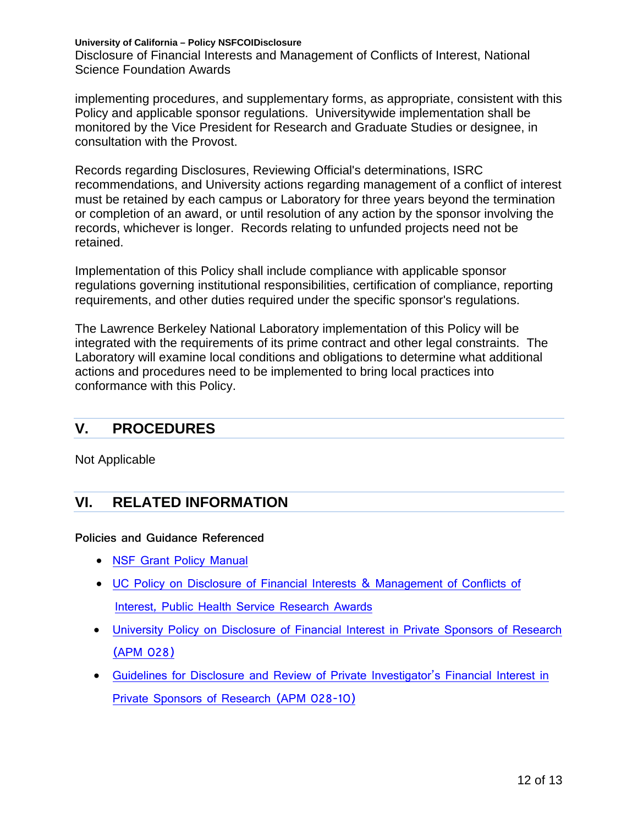Disclosure of Financial Interests and Management of Conflicts of Interest, National Science Foundation Awards

implementing procedures, and supplementary forms, as appropriate, consistent with this Policy and applicable sponsor regulations. Universitywide implementation shall be monitored by the Vice President for Research and Graduate Studies or designee, in consultation with the Provost.

Records regarding Disclosures, Reviewing Official's determinations, ISRC recommendations, and University actions regarding management of a conflict of interest must be retained by each campus or Laboratory for three years beyond the termination or completion of an award, or until resolution of any action by the sponsor involving the records, whichever is longer. Records relating to unfunded projects need not be retained.

Implementation of this Policy shall include compliance with applicable sponsor regulations governing institutional responsibilities, certification of compliance, reporting requirements, and other duties required under the specific sponsor's regulations.

The Lawrence Berkeley National Laboratory implementation of this Policy will be integrated with the requirements of its prime contract and other legal constraints. The Laboratory will examine local conditions and obligations to determine what additional actions and procedures need to be implemented to bring local practices into conformance with this Policy.

## **V. PROCEDURES**

Not Applicable

## **VI. RELATED INFORMATION**

**Policies and Guidance Referenced** 

- [NSF Grant Policy Manual](http://www.nsf.gov/pubs/policydocs/pappguide/nsf14001/aag_4.jsp)
- UC Policy [on Disclosure of Financial Interests & Management of Conflicts of](http://policy.ucop.edu/doc/2500558)  [Interest, Public Health Service Research Awards](http://policy.ucop.edu/doc/2500558)
- [University Policy on Disclosure of Financial Interest in Private Sponsors of Research](http://www.ucop.edu/academic-personnel/_files/apm/apm-028.pdf)  [\(APM 028\)](http://www.ucop.edu/academic-personnel/_files/apm/apm-028.pdf)
- [Guidelines for Disclosure and Review of Private Investigator's Financial Interest in](http://www.ucop.edu/academic-personnel/_files/apm/apm-028.pdf)  [Private Sponsors of Research \(APM 028-10\)](http://www.ucop.edu/academic-personnel/_files/apm/apm-028.pdf)